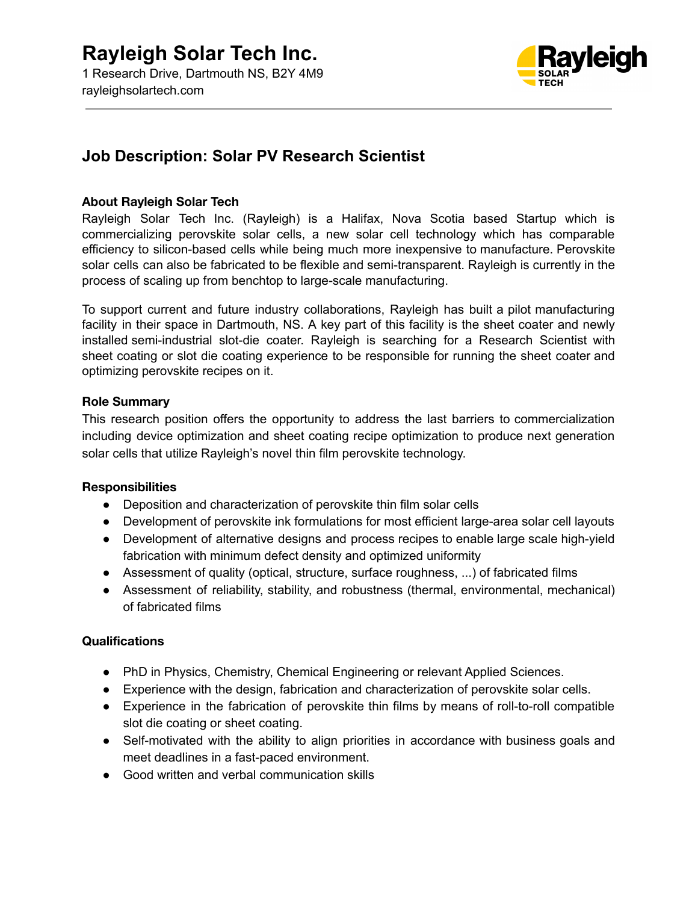

## **Job Description: Solar PV Research Scientist**

#### **About Rayleigh Solar Tech**

Rayleigh Solar Tech Inc. (Rayleigh) is a Halifax, Nova Scotia based Startup which is commercializing perovskite solar cells, a new solar cell technology which has comparable efficiency to silicon-based cells while being much more inexpensive to manufacture. Perovskite solar cells can also be fabricated to be flexible and semi-transparent. Rayleigh is currently in the process of scaling up from benchtop to large-scale manufacturing.

To support current and future industry collaborations, Rayleigh has built a pilot manufacturing facility in their space in Dartmouth, NS. A key part of this facility is the sheet coater and newly installed semi-industrial slot-die coater. Rayleigh is searching for a Research Scientist with sheet coating or slot die coating experience to be responsible for running the sheet coater and optimizing perovskite recipes on it.

#### **Role Summary**

This research position offers the opportunity to address the last barriers to commercialization including device optimization and sheet coating recipe optimization to produce next generation solar cells that utilize Rayleigh's novel thin film perovskite technology.

#### **Responsibilities**

- Deposition and characterization of perovskite thin film solar cells
- Development of perovskite ink formulations for most efficient large-area solar cell layouts
- Development of alternative designs and process recipes to enable large scale high-yield fabrication with minimum defect density and optimized uniformity
- Assessment of quality (optical, structure, surface roughness, ...) of fabricated films
- Assessment of reliability, stability, and robustness (thermal, environmental, mechanical) of fabricated films

#### **Qualifications**

- PhD in Physics, Chemistry, Chemical Engineering or relevant Applied Sciences.
- Experience with the design, fabrication and characterization of perovskite solar cells.
- Experience in the fabrication of perovskite thin films by means of roll-to-roll compatible slot die coating or sheet coating.
- Self-motivated with the ability to align priorities in accordance with business goals and meet deadlines in a fast-paced environment.
- Good written and verbal communication skills